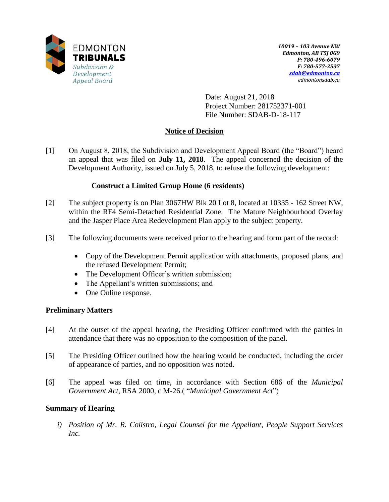

Date: August 21, 2018 Project Number: 281752371-001 File Number: SDAB-D-18-117

# **Notice of Decision**

[1] On August 8, 2018, the Subdivision and Development Appeal Board (the "Board") heard an appeal that was filed on **July 11, 2018**. The appeal concerned the decision of the Development Authority, issued on July 5, 2018, to refuse the following development:

# **Construct a Limited Group Home (6 residents)**

- [2] The subject property is on Plan 3067HW Blk 20 Lot 8, located at 10335 162 Street NW, within the RF4 Semi-Detached Residential Zone. The Mature Neighbourhood Overlay and the Jasper Place Area Redevelopment Plan apply to the subject property.
- [3] The following documents were received prior to the hearing and form part of the record:
	- Copy of the Development Permit application with attachments, proposed plans, and the refused Development Permit;
	- The Development Officer's written submission;
	- The Appellant's written submissions; and
	- One Online response.

# **Preliminary Matters**

- [4] At the outset of the appeal hearing, the Presiding Officer confirmed with the parties in attendance that there was no opposition to the composition of the panel.
- [5] The Presiding Officer outlined how the hearing would be conducted, including the order of appearance of parties, and no opposition was noted.
- [6] The appeal was filed on time, in accordance with Section 686 of the *Municipal Government Act*, RSA 2000, c M-26.( "*Municipal Government Act*")

### **Summary of Hearing**

*i) Position of Mr. R. Colistro, Legal Counsel for the Appellant, People Support Services Inc.*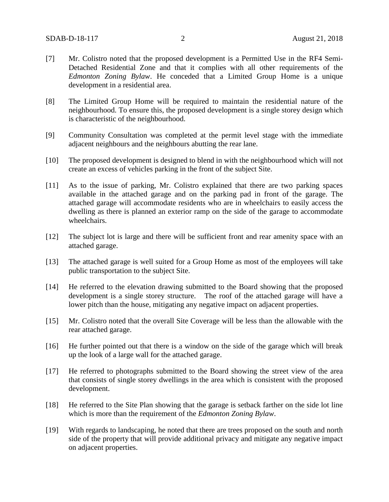- [7] Mr. Colistro noted that the proposed development is a Permitted Use in the RF4 Semi-Detached Residential Zone and that it complies with all other requirements of the *Edmonton Zoning Bylaw*. He conceded that a Limited Group Home is a unique development in a residential area.
- [8] The Limited Group Home will be required to maintain the residential nature of the neighbourhood. To ensure this, the proposed development is a single storey design which is characteristic of the neighbourhood.
- [9] Community Consultation was completed at the permit level stage with the immediate adjacent neighbours and the neighbours abutting the rear lane.
- [10] The proposed development is designed to blend in with the neighbourhood which will not create an excess of vehicles parking in the front of the subject Site.
- [11] As to the issue of parking, Mr. Colistro explained that there are two parking spaces available in the attached garage and on the parking pad in front of the garage. The attached garage will accommodate residents who are in wheelchairs to easily access the dwelling as there is planned an exterior ramp on the side of the garage to accommodate wheelchairs.
- [12] The subject lot is large and there will be sufficient front and rear amenity space with an attached garage.
- [13] The attached garage is well suited for a Group Home as most of the employees will take public transportation to the subject Site.
- [14] He referred to the elevation drawing submitted to the Board showing that the proposed development is a single storey structure. The roof of the attached garage will have a lower pitch than the house, mitigating any negative impact on adjacent properties.
- [15] Mr. Colistro noted that the overall Site Coverage will be less than the allowable with the rear attached garage.
- [16] He further pointed out that there is a window on the side of the garage which will break up the look of a large wall for the attached garage.
- [17] He referred to photographs submitted to the Board showing the street view of the area that consists of single storey dwellings in the area which is consistent with the proposed development.
- [18] He referred to the Site Plan showing that the garage is setback farther on the side lot line which is more than the requirement of the *Edmonton Zoning Bylaw*.
- [19] With regards to landscaping, he noted that there are trees proposed on the south and north side of the property that will provide additional privacy and mitigate any negative impact on adjacent properties.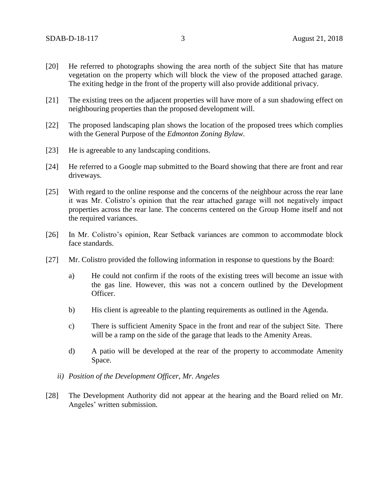- [20] He referred to photographs showing the area north of the subject Site that has mature vegetation on the property which will block the view of the proposed attached garage. The exiting hedge in the front of the property will also provide additional privacy.
- [21] The existing trees on the adjacent properties will have more of a sun shadowing effect on neighbouring properties than the proposed development will.
- [22] The proposed landscaping plan shows the location of the proposed trees which complies with the General Purpose of the *Edmonton Zoning Bylaw.*
- [23] He is agreeable to any landscaping conditions.
- [24] He referred to a Google map submitted to the Board showing that there are front and rear driveways.
- [25] With regard to the online response and the concerns of the neighbour across the rear lane it was Mr. Colistro's opinion that the rear attached garage will not negatively impact properties across the rear lane. The concerns centered on the Group Home itself and not the required variances.
- [26] In Mr. Colistro's opinion, Rear Setback variances are common to accommodate block face standards.
- [27] Mr. Colistro provided the following information in response to questions by the Board:
	- a) He could not confirm if the roots of the existing trees will become an issue with the gas line. However, this was not a concern outlined by the Development Officer.
	- b) His client is agreeable to the planting requirements as outlined in the Agenda.
	- c) There is sufficient Amenity Space in the front and rear of the subject Site. There will be a ramp on the side of the garage that leads to the Amenity Areas.
	- d) A patio will be developed at the rear of the property to accommodate Amenity Space.
	- *ii) Position of the Development Officer, Mr. Angeles*
- [28] The Development Authority did not appear at the hearing and the Board relied on Mr. Angeles' written submission.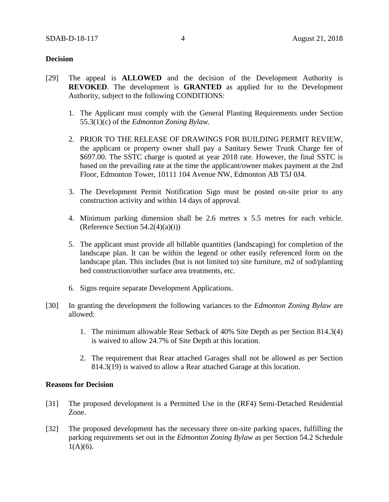### **Decision**

- [29] The appeal is **ALLOWED** and the decision of the Development Authority is **REVOKED**. The development is **GRANTED** as applied for to the Development Authority, subject to the following CONDITIONS:
	- 1. The Applicant must comply with the General Planting Requirements under Section 55.3(1)(c) of the *Edmonton Zoning Bylaw.*
	- 2. PRIOR TO THE RELEASE OF DRAWINGS FOR BUILDING PERMIT REVIEW, the applicant or property owner shall pay a Sanitary Sewer Trunk Charge fee of \$697.00. The SSTC charge is quoted at year 2018 rate. However, the final SSTC is based on the prevailing rate at the time the applicant/owner makes payment at the 2nd Floor, Edmonton Tower, 10111 104 Avenue NW, Edmonton AB T5J 0J4.
	- 3. The Development Permit Notification Sign must be posted on-site prior to any construction activity and within 14 days of approval.
	- 4. Minimum parking dimension shall be 2.6 metres x 5.5 metres for each vehicle. (Reference Section  $54.2(4)(a)(i)$ )
	- 5. The applicant must provide all billable quantities (landscaping) for completion of the landscape plan. It can be within the legend or other easily referenced form on the landscape plan. This includes (but is not limited to) site furniture, m2 of sod/planting bed construction/other surface area treatments, etc.
	- 6. Signs require separate Development Applications.
- [30] In granting the development the following variances to the *Edmonton Zoning Bylaw* are allowed:
	- 1. The minimum allowable Rear Setback of 40% Site Depth as per Section 814.3(4) is waived to allow 24.7% of Site Depth at this location.
	- 2. The requirement that Rear attached Garages shall not be allowed as per Section 814.3(19) is waived to allow a Rear attached Garage at this location.

### **Reasons for Decision**

- [31] The proposed development is a Permitted Use in the (RF4) Semi-Detached Residential Zone.
- [32] The proposed development has the necessary three on-site parking spaces, fulfilling the parking requirements set out in the *Edmonton Zoning Bylaw* as per Section 54.2 Schedule  $1(A)(6)$ .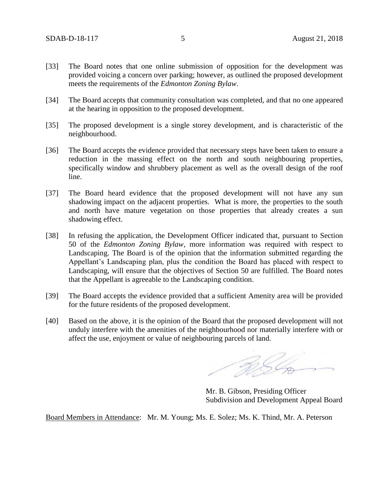- [33] The Board notes that one online submission of opposition for the development was provided voicing a concern over parking; however, as outlined the proposed development meets the requirements of the *Edmonton Zoning Bylaw*.
- [34] The Board accepts that community consultation was completed, and that no one appeared at the hearing in opposition to the proposed development.
- [35] The proposed development is a single storey development, and is characteristic of the neighbourhood.
- [36] The Board accepts the evidence provided that necessary steps have been taken to ensure a reduction in the massing effect on the north and south neighbouring properties, specifically window and shrubbery placement as well as the overall design of the roof line.
- [37] The Board heard evidence that the proposed development will not have any sun shadowing impact on the adjacent properties. What is more, the properties to the south and north have mature vegetation on those properties that already creates a sun shadowing effect.
- [38] In refusing the application, the Development Officer indicated that, pursuant to Section 50 of the *Edmonton Zoning Bylaw,* more information was required with respect to Landscaping. The Board is of the opinion that the information submitted regarding the Appellant's Landscaping plan, plus the condition the Board has placed with respect to Landscaping, will ensure that the objectives of Section 50 are fulfilled. The Board notes that the Appellant is agreeable to the Landscaping condition.
- [39] The Board accepts the evidence provided that a sufficient Amenity area will be provided for the future residents of the proposed development.
- [40] Based on the above, it is the opinion of the Board that the proposed development will not unduly interfere with the amenities of the neighbourhood nor materially interfere with or affect the use, enjoyment or value of neighbouring parcels of land.

RIG

Mr. B. Gibson, Presiding Officer Subdivision and Development Appeal Board

Board Members in Attendance: Mr. M. Young; Ms. E. Solez; Ms. K. Thind, Mr. A. Peterson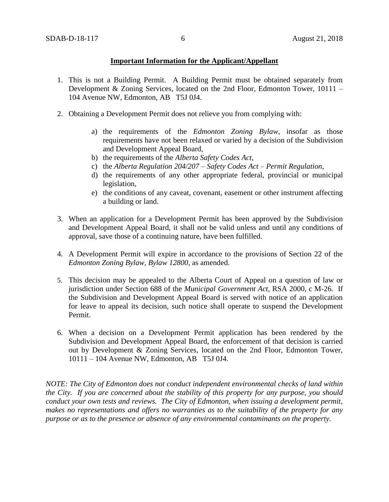### **Important Information for the Applicant/Appellant**

- 1. This is not a Building Permit. A Building Permit must be obtained separately from Development & Zoning Services, located on the 2nd Floor, Edmonton Tower, 10111 – 104 Avenue NW, Edmonton, AB T5J 0J4.
- 2. Obtaining a Development Permit does not relieve you from complying with:
	- a) the requirements of the *Edmonton Zoning Bylaw*, insofar as those requirements have not been relaxed or varied by a decision of the Subdivision and Development Appeal Board,
	- b) the requirements of the *Alberta Safety Codes Act*,
	- c) the *Alberta Regulation 204/207 – Safety Codes Act – Permit Regulation*,
	- d) the requirements of any other appropriate federal, provincial or municipal legislation,
	- e) the conditions of any caveat, covenant, easement or other instrument affecting a building or land.
- 3. When an application for a Development Permit has been approved by the Subdivision and Development Appeal Board, it shall not be valid unless and until any conditions of approval, save those of a continuing nature, have been fulfilled.
- 4. A Development Permit will expire in accordance to the provisions of Section 22 of the *Edmonton Zoning Bylaw, Bylaw 12800*, as amended.
- 5. This decision may be appealed to the Alberta Court of Appeal on a question of law or jurisdiction under Section 688 of the *Municipal Government Act*, RSA 2000, c M-26. If the Subdivision and Development Appeal Board is served with notice of an application for leave to appeal its decision, such notice shall operate to suspend the Development Permit.
- 6. When a decision on a Development Permit application has been rendered by the Subdivision and Development Appeal Board, the enforcement of that decision is carried out by Development & Zoning Services, located on the 2nd Floor, Edmonton Tower, 10111 – 104 Avenue NW, Edmonton, AB T5J 0J4.

*NOTE: The City of Edmonton does not conduct independent environmental checks of land within the City. If you are concerned about the stability of this property for any purpose, you should conduct your own tests and reviews. The City of Edmonton, when issuing a development permit, makes no representations and offers no warranties as to the suitability of the property for any purpose or as to the presence or absence of any environmental contaminants on the property.*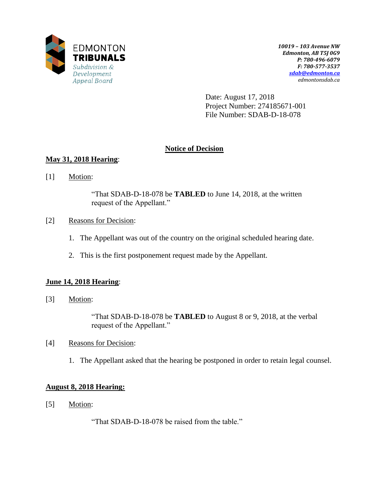

Date: August 17, 2018 Project Number: 274185671-001 File Number: SDAB-D-18-078

# **Notice of Decision**

# **May 31, 2018 Hearing**:

[1] Motion:

"That SDAB-D-18-078 be **TABLED** to June 14, 2018, at the written request of the Appellant."

- [2] Reasons for Decision:
	- 1. The Appellant was out of the country on the original scheduled hearing date.
	- 2. This is the first postponement request made by the Appellant.

### **June 14, 2018 Hearing**:

[3] Motion:

"That SDAB-D-18-078 be **TABLED** to August 8 or 9, 2018, at the verbal request of the Appellant."

- [4] Reasons for Decision:
	- 1. The Appellant asked that the hearing be postponed in order to retain legal counsel.

### **August 8, 2018 Hearing:**

[5] Motion:

"That SDAB-D-18-078 be raised from the table."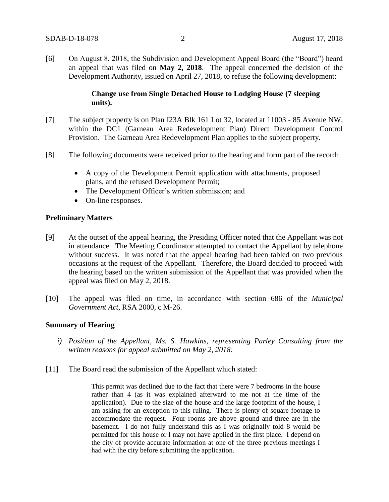[6] On August 8, 2018, the Subdivision and Development Appeal Board (the "Board") heard an appeal that was filed on **May 2, 2018**. The appeal concerned the decision of the Development Authority, issued on April 27, 2018, to refuse the following development:

### **Change use from Single Detached House to Lodging House (7 sleeping units).**

- [7] The subject property is on Plan I23A Blk 161 Lot 32, located at 11003 85 Avenue NW, within the DC1 (Garneau Area Redevelopment Plan) Direct Development Control Provision. The Garneau Area Redevelopment Plan applies to the subject property.
- [8] The following documents were received prior to the hearing and form part of the record:
	- A copy of the Development Permit application with attachments, proposed plans, and the refused Development Permit;
	- The Development Officer's written submission; and
	- On-line responses.

### **Preliminary Matters**

- [9] At the outset of the appeal hearing, the Presiding Officer noted that the Appellant was not in attendance. The Meeting Coordinator attempted to contact the Appellant by telephone without success. It was noted that the appeal hearing had been tabled on two previous occasions at the request of the Appellant. Therefore, the Board decided to proceed with the hearing based on the written submission of the Appellant that was provided when the appeal was filed on May 2, 2018.
- [10] The appeal was filed on time, in accordance with section 686 of the *Municipal Government Act*, RSA 2000, c M-26.

### **Summary of Hearing**

- *i) Position of the Appellant, Ms. S. Hawkins, representing Parley Consulting from the written reasons for appeal submitted on May 2, 2018:*
- [11] The Board read the submission of the Appellant which stated:

This permit was declined due to the fact that there were 7 bedrooms in the house rather than 4 (as it was explained afterward to me not at the time of the application). Due to the size of the house and the large footprint of the house, I am asking for an exception to this ruling. There is plenty of square footage to accommodate the request. Four rooms are above ground and three are in the basement. I do not fully understand this as I was originally told 8 would be permitted for this house or I may not have applied in the first place. I depend on the city of provide accurate information at one of the three previous meetings I had with the city before submitting the application.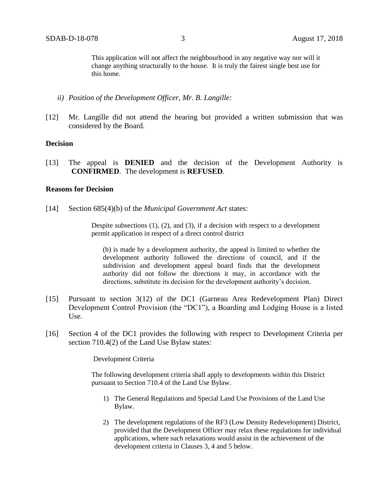This application will not affect the neighbourhood in any negative way nor will it change anything structurally to the house. It is truly the fairest single best use for this home.

- *ii) Position of the Development Officer, Mr. B. Langille:*
- [12] Mr. Langille did not attend the hearing but provided a written submission that was considered by the Board.

#### **Decision**

[13] The appeal is **DENIED** and the decision of the Development Authority is **CONFIRMED**. The development is **REFUSED**.

#### **Reasons for Decision**

[14] Section 685(4)(b) of the *Municipal Government Act* states:

Despite subsections  $(1)$ ,  $(2)$ , and  $(3)$ , if a decision with respect to a development permit application in respect of a direct control district

(b) is made by a development authority, the appeal is limited to whether the development authority followed the directions of council, and if the subdivision and development appeal board finds that the development authority did not follow the directions it may, in accordance with the directions, substitute its decision for the development authority's decision.

- [15] Pursuant to section 3(12) of the DC1 (Garneau Area Redevelopment Plan) Direct Development Control Provision (the "DC1"), a Boarding and Lodging House is a listed Use.
- [16] Section 4 of the DC1 provides the following with respect to Development Criteria per section 710.4(2) of the Land Use Bylaw states:

Development Criteria

The following development criteria shall apply to developments within this District pursuant to Section 710.4 of the Land Use Bylaw.

- 1) The General Regulations and Special Land Use Provisions of the Land Use Bylaw.
- 2) The development regulations of the RF3 (Low Density Redevelopment) District, provided that the Development Officer may relax these regulations for individual applications, where such relaxations would assist in the achievement of the development criteria in Clauses 3, 4 and 5 below.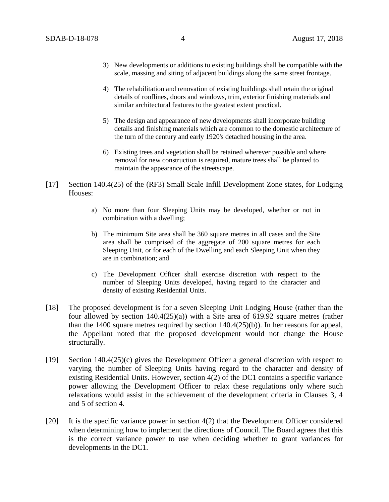- 3) New developments or additions to existing buildings shall be compatible with the scale, massing and siting of adjacent buildings along the same street frontage.
- 4) The rehabilitation and renovation of existing buildings shall retain the original details of rooflines, doors and windows, trim, exterior finishing materials and similar architectural features to the greatest extent practical.
- 5) The design and appearance of new developments shall incorporate building details and finishing materials which are common to the domestic architecture of the turn of the century and early 1920's detached housing in the area.
- 6) Existing trees and vegetation shall be retained wherever possible and where removal for new construction is required, mature trees shall be planted to maintain the appearance of the streetscape.
- [17] Section 140.4(25) of the (RF3) Small Scale Infill Development Zone states, for Lodging Houses:
	- a) No more than four Sleeping Units may be developed, whether or not in combination with a dwelling;
	- b) The minimum Site area shall be 360 square metres in all cases and the Site area shall be comprised of the aggregate of 200 square metres for each Sleeping Unit, or for each of the Dwelling and each Sleeping Unit when they are in combination; and
	- c) The Development Officer shall exercise discretion with respect to the number of Sleeping Units developed, having regard to the character and density of existing Residential Units.
- [18] The proposed development is for a seven Sleeping Unit Lodging House (rather than the four allowed by section 140.4(25)(a)) with a Site area of 619.92 square metres (rather than the 1400 square metres required by section 140.4(25)(b)). In her reasons for appeal, the Appellant noted that the proposed development would not change the House structurally.
- [19] Section 140.4(25)(c) gives the Development Officer a general discretion with respect to varying the number of Sleeping Units having regard to the character and density of existing Residential Units. However, section 4(2) of the DC1 contains a specific variance power allowing the Development Officer to relax these regulations only where such relaxations would assist in the achievement of the development criteria in Clauses 3, 4 and 5 of section 4.
- [20] It is the specific variance power in section 4(2) that the Development Officer considered when determining how to implement the directions of Council. The Board agrees that this is the correct variance power to use when deciding whether to grant variances for developments in the DC1.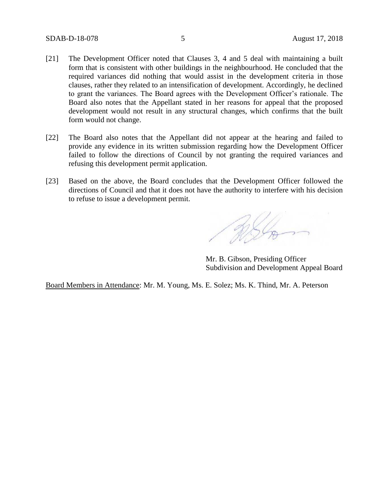- [21] The Development Officer noted that Clauses 3, 4 and 5 deal with maintaining a built form that is consistent with other buildings in the neighbourhood. He concluded that the required variances did nothing that would assist in the development criteria in those clauses, rather they related to an intensification of development. Accordingly, he declined to grant the variances. The Board agrees with the Development Officer's rationale. The Board also notes that the Appellant stated in her reasons for appeal that the proposed development would not result in any structural changes, which confirms that the built form would not change.
- [22] The Board also notes that the Appellant did not appear at the hearing and failed to provide any evidence in its written submission regarding how the Development Officer failed to follow the directions of Council by not granting the required variances and refusing this development permit application.
- [23] Based on the above, the Board concludes that the Development Officer followed the directions of Council and that it does not have the authority to interfere with his decision to refuse to issue a development permit.

ASL

Mr. B. Gibson, Presiding Officer Subdivision and Development Appeal Board

Board Members in Attendance: Mr. M. Young, Ms. E. Solez; Ms. K. Thind, Mr. A. Peterson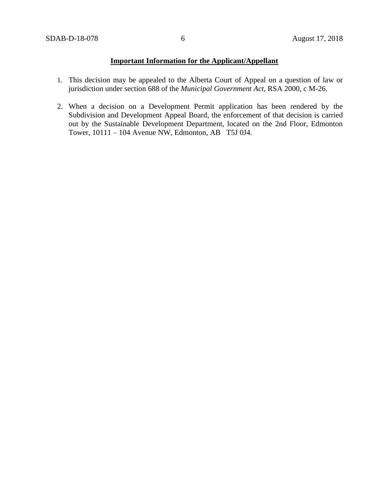# **Important Information for the Applicant/Appellant**

- 1. This decision may be appealed to the Alberta Court of Appeal on a question of law or jurisdiction under section 688 of the *Municipal Government Act*, RSA 2000, c M-26.
- 2. When a decision on a Development Permit application has been rendered by the Subdivision and Development Appeal Board, the enforcement of that decision is carried out by the Sustainable Development Department, located on the 2nd Floor, Edmonton Tower, 10111 – 104 Avenue NW, Edmonton, AB T5J 0J4.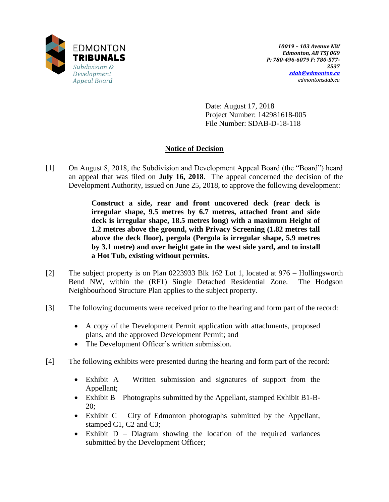

Date: August 17, 2018 Project Number: 142981618-005 File Number: SDAB-D-18-118

# **Notice of Decision**

[1] On August 8, 2018, the Subdivision and Development Appeal Board (the "Board") heard an appeal that was filed on **July 16, 2018**. The appeal concerned the decision of the Development Authority, issued on June 25, 2018, to approve the following development:

> **Construct a side, rear and front uncovered deck (rear deck is irregular shape, 9.5 metres by 6.7 metres, attached front and side deck is irregular shape, 18.5 metres long) with a maximum Height of 1.2 metres above the ground, with Privacy Screening (1.82 metres tall above the deck floor), pergola (Pergola is irregular shape, 5.9 metres by 3.1 metre) and over height gate in the west side yard, and to install a Hot Tub, existing without permits.**

- [2] The subject property is on Plan 0223933 Blk 162 Lot 1, located at 976 Hollingsworth Bend NW, within the (RF1) Single Detached Residential Zone. The Hodgson Neighbourhood Structure Plan applies to the subject property.
- [3] The following documents were received prior to the hearing and form part of the record:
	- A copy of the Development Permit application with attachments, proposed plans, and the approved Development Permit; and
	- The Development Officer's written submission.
- [4] The following exhibits were presented during the hearing and form part of the record:
	- Exhibit A Written submission and signatures of support from the Appellant;
	- Exhibit B Photographs submitted by the Appellant, stamped Exhibit B1-B-20;
	- $\bullet$  Exhibit C City of Edmonton photographs submitted by the Appellant, stamped C1, C2 and C3;
	- Exhibit D Diagram showing the location of the required variances submitted by the Development Officer;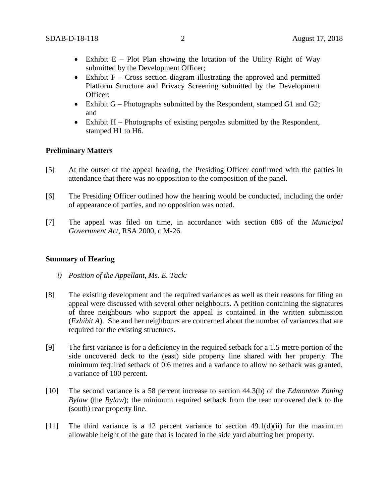- Exhibit  $E Plot$  Plan showing the location of the Utility Right of Way submitted by the Development Officer;
- Exhibit  $F Cross$  section diagram illustrating the approved and permitted Platform Structure and Privacy Screening submitted by the Development Officer;
- Exhibit  $G$  Photographs submitted by the Respondent, stamped  $G1$  and  $G2$ ; and
- $\bullet$  Exhibit H Photographs of existing pergolas submitted by the Respondent, stamped H1 to H6.

#### **Preliminary Matters**

- [5] At the outset of the appeal hearing, the Presiding Officer confirmed with the parties in attendance that there was no opposition to the composition of the panel.
- [6] The Presiding Officer outlined how the hearing would be conducted, including the order of appearance of parties, and no opposition was noted.
- [7] The appeal was filed on time, in accordance with section 686 of the *Municipal Government Act*, RSA 2000, c M-26.

#### **Summary of Hearing**

- *i) Position of the Appellant, Ms. E. Tack:*
- [8] The existing development and the required variances as well as their reasons for filing an appeal were discussed with several other neighbours. A petition containing the signatures of three neighbours who support the appeal is contained in the written submission (*Exhibit A*). She and her neighbours are concerned about the number of variances that are required for the existing structures.
- [9] The first variance is for a deficiency in the required setback for a 1.5 metre portion of the side uncovered deck to the (east) side property line shared with her property. The minimum required setback of 0.6 metres and a variance to allow no setback was granted, a variance of 100 percent.
- [10] The second variance is a 58 percent increase to section 44.3(b) of the *Edmonton Zoning Bylaw* (the *Bylaw*); the minimum required setback from the rear uncovered deck to the (south) rear property line.
- [11] The third variance is a 12 percent variance to section  $49.1(d)(ii)$  for the maximum allowable height of the gate that is located in the side yard abutting her property.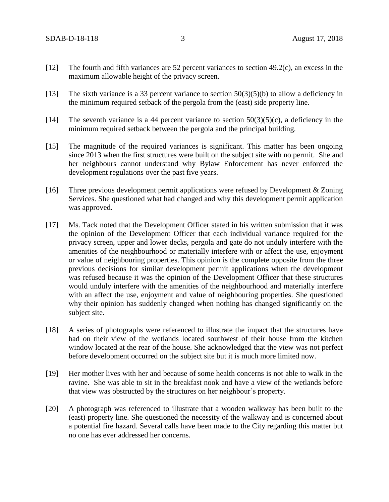- [12] The fourth and fifth variances are 52 percent variances to section 49.2(c), an excess in the maximum allowable height of the privacy screen.
- [13] The sixth variance is a 33 percent variance to section 50(3)(5)(b) to allow a deficiency in the minimum required setback of the pergola from the (east) side property line.
- [14] The seventh variance is a 44 percent variance to section  $50(3)(5)(c)$ , a deficiency in the minimum required setback between the pergola and the principal building.
- [15] The magnitude of the required variances is significant. This matter has been ongoing since 2013 when the first structures were built on the subject site with no permit. She and her neighbours cannot understand why Bylaw Enforcement has never enforced the development regulations over the past five years.
- [16] Three previous development permit applications were refused by Development & Zoning Services. She questioned what had changed and why this development permit application was approved.
- [17] Ms. Tack noted that the Development Officer stated in his written submission that it was the opinion of the Development Officer that each individual variance required for the privacy screen, upper and lower decks, pergola and gate do not unduly interfere with the amenities of the neighbourhood or materially interfere with or affect the use, enjoyment or value of neighbouring properties. This opinion is the complete opposite from the three previous decisions for similar development permit applications when the development was refused because it was the opinion of the Development Officer that these structures would unduly interfere with the amenities of the neighbourhood and materially interfere with an affect the use, enjoyment and value of neighbouring properties. She questioned why their opinion has suddenly changed when nothing has changed significantly on the subject site.
- [18] A series of photographs were referenced to illustrate the impact that the structures have had on their view of the wetlands located southwest of their house from the kitchen window located at the rear of the house. She acknowledged that the view was not perfect before development occurred on the subject site but it is much more limited now.
- [19] Her mother lives with her and because of some health concerns is not able to walk in the ravine. She was able to sit in the breakfast nook and have a view of the wetlands before that view was obstructed by the structures on her neighbour's property.
- [20] A photograph was referenced to illustrate that a wooden walkway has been built to the (east) property line. She questioned the necessity of the walkway and is concerned about a potential fire hazard. Several calls have been made to the City regarding this matter but no one has ever addressed her concerns.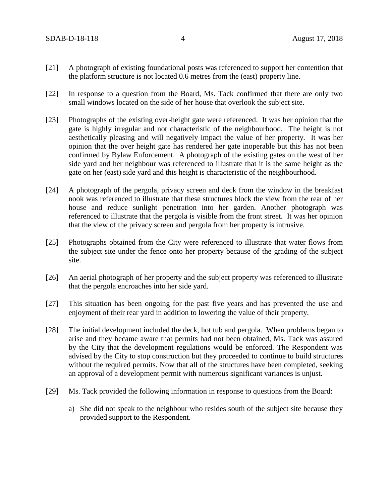- [21] A photograph of existing foundational posts was referenced to support her contention that the platform structure is not located 0.6 metres from the (east) property line.
- [22] In response to a question from the Board, Ms. Tack confirmed that there are only two small windows located on the side of her house that overlook the subject site.
- [23] Photographs of the existing over-height gate were referenced. It was her opinion that the gate is highly irregular and not characteristic of the neighbourhood. The height is not aesthetically pleasing and will negatively impact the value of her property. It was her opinion that the over height gate has rendered her gate inoperable but this has not been confirmed by Bylaw Enforcement. A photograph of the existing gates on the west of her side yard and her neighbour was referenced to illustrate that it is the same height as the gate on her (east) side yard and this height is characteristic of the neighbourhood.
- [24] A photograph of the pergola, privacy screen and deck from the window in the breakfast nook was referenced to illustrate that these structures block the view from the rear of her house and reduce sunlight penetration into her garden. Another photograph was referenced to illustrate that the pergola is visible from the front street. It was her opinion that the view of the privacy screen and pergola from her property is intrusive.
- [25] Photographs obtained from the City were referenced to illustrate that water flows from the subject site under the fence onto her property because of the grading of the subject site.
- [26] An aerial photograph of her property and the subject property was referenced to illustrate that the pergola encroaches into her side yard.
- [27] This situation has been ongoing for the past five years and has prevented the use and enjoyment of their rear yard in addition to lowering the value of their property.
- [28] The initial development included the deck, hot tub and pergola. When problems began to arise and they became aware that permits had not been obtained, Ms. Tack was assured by the City that the development regulations would be enforced. The Respondent was advised by the City to stop construction but they proceeded to continue to build structures without the required permits. Now that all of the structures have been completed, seeking an approval of a development permit with numerous significant variances is unjust.
- [29] Ms. Tack provided the following information in response to questions from the Board:
	- a) She did not speak to the neighbour who resides south of the subject site because they provided support to the Respondent.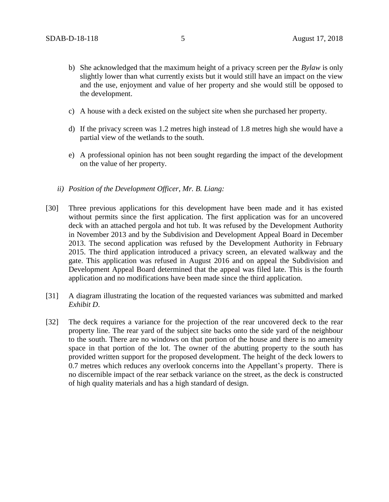- b) She acknowledged that the maximum height of a privacy screen per the *Bylaw* is only slightly lower than what currently exists but it would still have an impact on the view and the use, enjoyment and value of her property and she would still be opposed to the development.
- c) A house with a deck existed on the subject site when she purchased her property.
- d) If the privacy screen was 1.2 metres high instead of 1.8 metres high she would have a partial view of the wetlands to the south.
- e) A professional opinion has not been sought regarding the impact of the development on the value of her property.
- *ii) Position of the Development Officer, Mr. B. Liang:*
- [30] Three previous applications for this development have been made and it has existed without permits since the first application. The first application was for an uncovered deck with an attached pergola and hot tub. It was refused by the Development Authority in November 2013 and by the Subdivision and Development Appeal Board in December 2013. The second application was refused by the Development Authority in February 2015. The third application introduced a privacy screen, an elevated walkway and the gate. This application was refused in August 2016 and on appeal the Subdivision and Development Appeal Board determined that the appeal was filed late. This is the fourth application and no modifications have been made since the third application.
- [31] A diagram illustrating the location of the requested variances was submitted and marked *Exhibit D*.
- [32] The deck requires a variance for the projection of the rear uncovered deck to the rear property line. The rear yard of the subject site backs onto the side yard of the neighbour to the south. There are no windows on that portion of the house and there is no amenity space in that portion of the lot. The owner of the abutting property to the south has provided written support for the proposed development. The height of the deck lowers to 0.7 metres which reduces any overlook concerns into the Appellant's property. There is no discernible impact of the rear setback variance on the street, as the deck is constructed of high quality materials and has a high standard of design.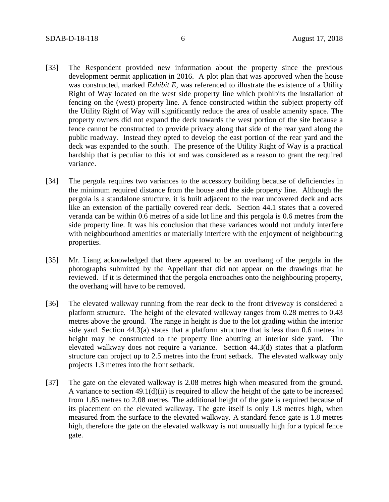- [33] The Respondent provided new information about the property since the previous development permit application in 2016. A plot plan that was approved when the house was constructed, marked *Exhibit E*, was referenced to illustrate the existence of a Utility Right of Way located on the west side property line which prohibits the installation of fencing on the (west) property line. A fence constructed within the subject property off the Utility Right of Way will significantly reduce the area of usable amenity space. The property owners did not expand the deck towards the west portion of the site because a fence cannot be constructed to provide privacy along that side of the rear yard along the public roadway. Instead they opted to develop the east portion of the rear yard and the deck was expanded to the south. The presence of the Utility Right of Way is a practical hardship that is peculiar to this lot and was considered as a reason to grant the required variance.
- [34] The pergola requires two variances to the accessory building because of deficiencies in the minimum required distance from the house and the side property line. Although the pergola is a standalone structure, it is built adjacent to the rear uncovered deck and acts like an extension of the partially covered rear deck. Section 44.1 states that a covered veranda can be within 0.6 metres of a side lot line and this pergola is 0.6 metres from the side property line. It was his conclusion that these variances would not unduly interfere with neighbourhood amenities or materially interfere with the enjoyment of neighbouring properties.
- [35] Mr. Liang acknowledged that there appeared to be an overhang of the pergola in the photographs submitted by the Appellant that did not appear on the drawings that he reviewed. If it is determined that the pergola encroaches onto the neighbouring property, the overhang will have to be removed.
- [36] The elevated walkway running from the rear deck to the front driveway is considered a platform structure. The height of the elevated walkway ranges from 0.28 metres to 0.43 metres above the ground. The range in height is due to the lot grading within the interior side yard. Section 44.3(a) states that a platform structure that is less than 0.6 metres in height may be constructed to the property line abutting an interior side yard. The elevated walkway does not require a variance. Section 44.3(d) states that a platform structure can project up to 2.5 metres into the front setback. The elevated walkway only projects 1.3 metres into the front setback.
- [37] The gate on the elevated walkway is 2.08 metres high when measured from the ground. A variance to section 49.1(d)(ii) is required to allow the height of the gate to be increased from 1.85 metres to 2.08 metres. The additional height of the gate is required because of its placement on the elevated walkway. The gate itself is only 1.8 metres high, when measured from the surface to the elevated walkway. A standard fence gate is 1.8 metres high, therefore the gate on the elevated walkway is not unusually high for a typical fence gate.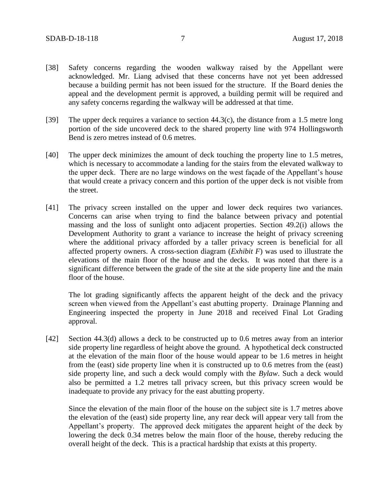- [38] Safety concerns regarding the wooden walkway raised by the Appellant were acknowledged. Mr. Liang advised that these concerns have not yet been addressed because a building permit has not been issued for the structure. If the Board denies the appeal and the development permit is approved, a building permit will be required and any safety concerns regarding the walkway will be addressed at that time.
- [39] The upper deck requires a variance to section 44.3(c), the distance from a 1.5 metre long portion of the side uncovered deck to the shared property line with 974 Hollingsworth Bend is zero metres instead of 0.6 metres.
- [40] The upper deck minimizes the amount of deck touching the property line to 1.5 metres, which is necessary to accommodate a landing for the stairs from the elevated walkway to the upper deck. There are no large windows on the west façade of the Appellant's house that would create a privacy concern and this portion of the upper deck is not visible from the street.
- [41] The privacy screen installed on the upper and lower deck requires two variances. Concerns can arise when trying to find the balance between privacy and potential massing and the loss of sunlight onto adjacent properties. Section 49.2(i) allows the Development Authority to grant a variance to increase the height of privacy screening where the additional privacy afforded by a taller privacy screen is beneficial for all affected property owners. A cross-section diagram (*Exhibit F*) was used to illustrate the elevations of the main floor of the house and the decks. It was noted that there is a significant difference between the grade of the site at the side property line and the main floor of the house.

The lot grading significantly affects the apparent height of the deck and the privacy screen when viewed from the Appellant's east abutting property. Drainage Planning and Engineering inspected the property in June 2018 and received Final Lot Grading approval.

[42] Section 44.3(d) allows a deck to be constructed up to 0.6 metres away from an interior side property line regardless of height above the ground. A hypothetical deck constructed at the elevation of the main floor of the house would appear to be 1.6 metres in height from the (east) side property line when it is constructed up to 0.6 metres from the (east) side property line, and such a deck would comply with the *Bylaw*. Such a deck would also be permitted a 1.2 metres tall privacy screen, but this privacy screen would be inadequate to provide any privacy for the east abutting property.

Since the elevation of the main floor of the house on the subject site is 1.7 metres above the elevation of the (east) side property line, any rear deck will appear very tall from the Appellant's property. The approved deck mitigates the apparent height of the deck by lowering the deck 0.34 metres below the main floor of the house, thereby reducing the overall height of the deck. This is a practical hardship that exists at this property.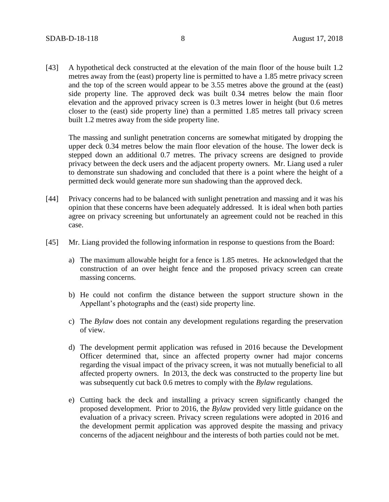[43] A hypothetical deck constructed at the elevation of the main floor of the house built 1.2 metres away from the (east) property line is permitted to have a 1.85 metre privacy screen and the top of the screen would appear to be 3.55 metres above the ground at the (east) side property line. The approved deck was built 0.34 metres below the main floor elevation and the approved privacy screen is 0.3 metres lower in height (but 0.6 metres closer to the (east) side property line) than a permitted 1.85 metres tall privacy screen built 1.2 metres away from the side property line.

The massing and sunlight penetration concerns are somewhat mitigated by dropping the upper deck 0.34 metres below the main floor elevation of the house. The lower deck is stepped down an additional 0.7 metres. The privacy screens are designed to provide privacy between the deck users and the adjacent property owners. Mr. Liang used a ruler to demonstrate sun shadowing and concluded that there is a point where the height of a permitted deck would generate more sun shadowing than the approved deck.

- [44] Privacy concerns had to be balanced with sunlight penetration and massing and it was his opinion that these concerns have been adequately addressed. It is ideal when both parties agree on privacy screening but unfortunately an agreement could not be reached in this case.
- [45] Mr. Liang provided the following information in response to questions from the Board:
	- a) The maximum allowable height for a fence is 1.85 metres. He acknowledged that the construction of an over height fence and the proposed privacy screen can create massing concerns.
	- b) He could not confirm the distance between the support structure shown in the Appellant's photographs and the (east) side property line.
	- c) The *Bylaw* does not contain any development regulations regarding the preservation of view.
	- d) The development permit application was refused in 2016 because the Development Officer determined that, since an affected property owner had major concerns regarding the visual impact of the privacy screen, it was not mutually beneficial to all affected property owners. In 2013, the deck was constructed to the property line but was subsequently cut back 0.6 metres to comply with the *Bylaw* regulations.
	- e) Cutting back the deck and installing a privacy screen significantly changed the proposed development. Prior to 2016, the *Bylaw* provided very little guidance on the evaluation of a privacy screen. Privacy screen regulations were adopted in 2016 and the development permit application was approved despite the massing and privacy concerns of the adjacent neighbour and the interests of both parties could not be met.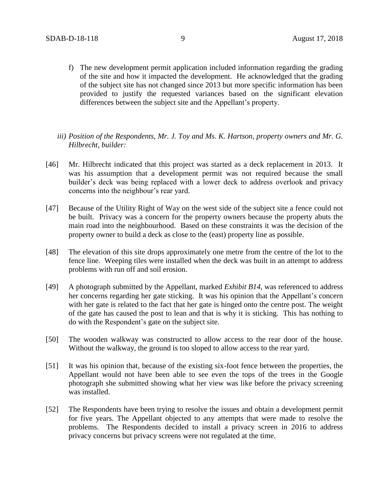- f) The new development permit application included information regarding the grading of the site and how it impacted the development. He acknowledged that the grading of the subject site has not changed since 2013 but more specific information has been provided to justify the requested variances based on the significant elevation differences between the subject site and the Appellant's property.
- *iii) Position of the Respondents, Mr. J. Toy and Ms. K. Hartson, property owners and Mr. G. Hilbrecht, builder:*
- [46] Mr. Hilbrecht indicated that this project was started as a deck replacement in 2013. It was his assumption that a development permit was not required because the small builder's deck was being replaced with a lower deck to address overlook and privacy concerns into the neighbour's rear yard.
- [47] Because of the Utility Right of Way on the west side of the subject site a fence could not be built. Privacy was a concern for the property owners because the property abuts the main road into the neighbourhood. Based on these constraints it was the decision of the property owner to build a deck as close to the (east) property line as possible.
- [48] The elevation of this site drops approximately one metre from the centre of the lot to the fence line. Weeping tiles were installed when the deck was built in an attempt to address problems with run off and soil erosion.
- [49] A photograph submitted by the Appellant, marked *Exhibit B14*, was referenced to address her concerns regarding her gate sticking. It was his opinion that the Appellant's concern with her gate is related to the fact that her gate is hinged onto the centre post. The weight of the gate has caused the post to lean and that is why it is sticking. This has nothing to do with the Respondent's gate on the subject site.
- [50] The wooden walkway was constructed to allow access to the rear door of the house. Without the walkway, the ground is too sloped to allow access to the rear yard.
- [51] It was his opinion that, because of the existing six-foot fence between the properties, the Appellant would not have been able to see even the tops of the trees in the Google photograph she submitted showing what her view was like before the privacy screening was installed.
- [52] The Respondents have been trying to resolve the issues and obtain a development permit for five years. The Appellant objected to any attempts that were made to resolve the problems. The Respondents decided to install a privacy screen in 2016 to address privacy concerns but privacy screens were not regulated at the time.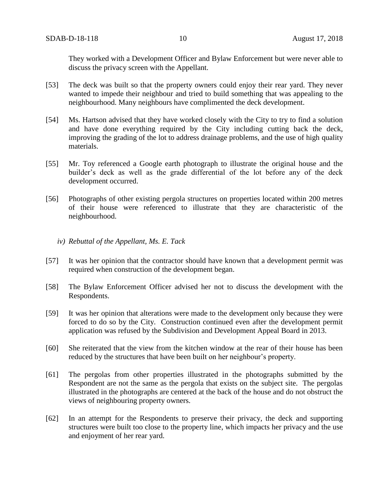They worked with a Development Officer and Bylaw Enforcement but were never able to discuss the privacy screen with the Appellant.

- [53] The deck was built so that the property owners could enjoy their rear yard. They never wanted to impede their neighbour and tried to build something that was appealing to the neighbourhood. Many neighbours have complimented the deck development.
- [54] Ms. Hartson advised that they have worked closely with the City to try to find a solution and have done everything required by the City including cutting back the deck, improving the grading of the lot to address drainage problems, and the use of high quality materials.
- [55] Mr. Toy referenced a Google earth photograph to illustrate the original house and the builder's deck as well as the grade differential of the lot before any of the deck development occurred.
- [56] Photographs of other existing pergola structures on properties located within 200 metres of their house were referenced to illustrate that they are characteristic of the neighbourhood.
	- *iv) Rebuttal of the Appellant, Ms. E. Tack*
- [57] It was her opinion that the contractor should have known that a development permit was required when construction of the development began.
- [58] The Bylaw Enforcement Officer advised her not to discuss the development with the Respondents.
- [59] It was her opinion that alterations were made to the development only because they were forced to do so by the City. Construction continued even after the development permit application was refused by the Subdivision and Development Appeal Board in 2013.
- [60] She reiterated that the view from the kitchen window at the rear of their house has been reduced by the structures that have been built on her neighbour's property.
- [61] The pergolas from other properties illustrated in the photographs submitted by the Respondent are not the same as the pergola that exists on the subject site. The pergolas illustrated in the photographs are centered at the back of the house and do not obstruct the views of neighbouring property owners.
- [62] In an attempt for the Respondents to preserve their privacy, the deck and supporting structures were built too close to the property line, which impacts her privacy and the use and enjoyment of her rear yard.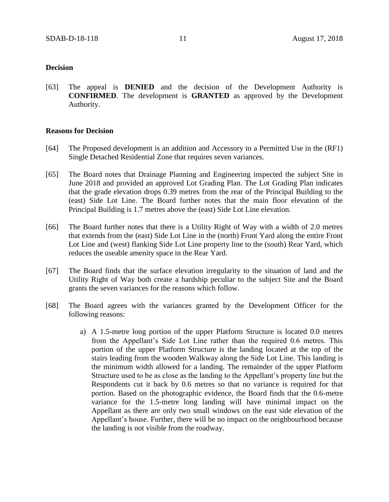### **Decision**

[63] The appeal is **DENIED** and the decision of the Development Authority is **CONFIRMED**. The development is **GRANTED** as approved by the Development Authority.

### **Reasons for Decision**

- [64] The Proposed development is an addition and Accessory to a Permitted Use in the (RF1) Single Detached Residential Zone that requires seven variances.
- [65] The Board notes that Drainage Planning and Engineering inspected the subject Site in June 2018 and provided an approved Lot Grading Plan. The Lot Grading Plan indicates that the grade elevation drops 0.39 metres from the rear of the Principal Building to the (east) Side Lot Line. The Board further notes that the main floor elevation of the Principal Building is 1.7 metres above the (east) Side Lot Line elevation.
- [66] The Board further notes that there is a Utility Right of Way with a width of 2.0 metres that extends from the (east) Side Lot Line in the (north) Front Yard along the entire Front Lot Line and (west) flanking Side Lot Line property line to the (south) Rear Yard, which reduces the useable amenity space in the Rear Yard.
- [67] The Board finds that the surface elevation irregularity to the situation of land and the Utility Right of Way both create a hardship peculiar to the subject Site and the Board grants the seven variances for the reasons which follow.
- [68] The Board agrees with the variances granted by the Development Officer for the following reasons:
	- a) A 1.5-metre long portion of the upper Platform Structure is located 0.0 metres from the Appellant's Side Lot Line rather than the required 0.6 metres. This portion of the upper Platform Structure is the landing located at the top of the stairs leading from the wooden Walkway along the Side Lot Line. This landing is the minimum width allowed for a landing. The remainder of the upper Platform Structure used to be as close as the landing to the Appellant's property line but the Respondents cut it back by 0.6 metres so that no variance is required for that portion. Based on the photographic evidence, the Board finds that the 0.6-metre variance for the 1.5-metre long landing will have minimal impact on the Appellant as there are only two small windows on the east side elevation of the Appellant's house. Further, there will be no impact on the neighbourhood because the landing is not visible from the roadway.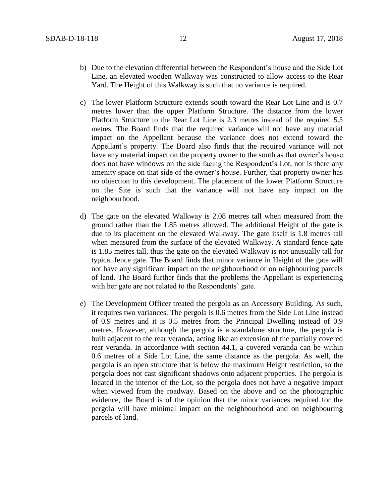- b) Due to the elevation differential between the Respondent's house and the Side Lot Line, an elevated wooden Walkway was constructed to allow access to the Rear Yard. The Height of this Walkway is such that no variance is required.
- c) The lower Platform Structure extends south toward the Rear Lot Line and is 0.7 metres lower than the upper Platform Structure. The distance from the lower Platform Structure to the Rear Lot Line is 2.3 metres instead of the required 5.5 metres. The Board finds that the required variance will not have any material impact on the Appellant because the variance does not extend toward the Appellant's property. The Board also finds that the required variance will not have any material impact on the property owner to the south as that owner's house does not have windows on the side facing the Respondent's Lot, nor is there any amenity space on that side of the owner's house. Further, that property owner has no objection to this development. The placement of the lower Platform Structure on the Site is such that the variance will not have any impact on the neighbourhood.
- d) The gate on the elevated Walkway is 2.08 metres tall when measured from the ground rather than the 1.85 metres allowed. The additional Height of the gate is due to its placement on the elevated Walkway. The gate itself is 1.8 metres tall when measured from the surface of the elevated Walkway. A standard fence gate is 1.85 metres tall, thus the gate on the elevated Walkway is not unusually tall for typical fence gate. The Board finds that minor variance in Height of the gate will not have any significant impact on the neighbourhood or on neighbouring parcels of land. The Board further finds that the problems the Appellant is experiencing with her gate are not related to the Respondents' gate.
- e) The Development Officer treated the pergola as an Accessory Building. As such, it requires two variances. The pergola is 0.6 metres from the Side Lot Line instead of 0.9 metres and it is 0.5 metres from the Principal Dwelling instead of 0.9 metres. However, although the pergola is a standalone structure, the pergola is built adjacent to the rear veranda, acting like an extension of the partially covered rear veranda. In accordance with section 44.1, a covered veranda can be within 0.6 metres of a Side Lot Line, the same distance as the pergola. As well, the pergola is an open structure that is below the maximum Height restriction, so the pergola does not cast significant shadows onto adjacent properties. The pergola is located in the interior of the Lot, so the pergola does not have a negative impact when viewed from the roadway. Based on the above and on the photographic evidence, the Board is of the opinion that the minor variances required for the pergola will have minimal impact on the neighbourhood and on neighbouring parcels of land.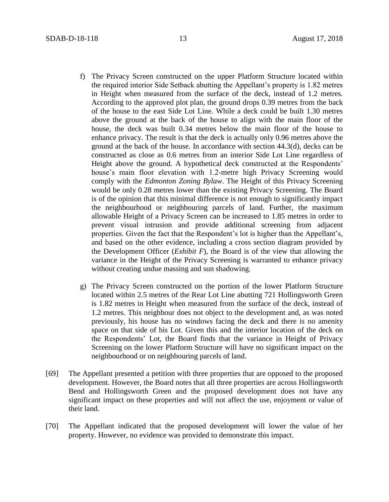- f) The Privacy Screen constructed on the upper Platform Structure located within the required interior Side Setback abutting the Appellant's property is 1.82 metres in Height when measured from the surface of the deck, instead of 1.2 metres. According to the approved plot plan, the ground drops 0.39 metres from the back of the house to the east Side Lot Line. While a deck could be built 1.30 metres above the ground at the back of the house to align with the main floor of the house, the deck was built 0.34 metres below the main floor of the house to enhance privacy. The result is that the deck is actually only 0.96 metres above the ground at the back of the house. In accordance with section 44.3(d), decks can be constructed as close as 0.6 metres from an interior Side Lot Line regardless of Height above the ground. A hypothetical deck constructed at the Respondents' house's main floor elevation with 1.2-metre high Privacy Screening would comply with the *Edmonton Zoning Bylaw*. The Height of this Privacy Screening would be only 0.28 metres lower than the existing Privacy Screening. The Board is of the opinion that this minimal difference is not enough to significantly impact the neighbourhood or neighbouring parcels of land. Further, the maximum allowable Height of a Privacy Screen can be increased to 1.85 metres in order to prevent visual intrusion and provide additional screening from adjacent properties. Given the fact that the Respondent's lot is higher than the Appellant's, and based on the other evidence, including a cross section diagram provided by the Development Officer (*Exhibit F*), the Board is of the view that allowing the variance in the Height of the Privacy Screening is warranted to enhance privacy without creating undue massing and sun shadowing.
- g) The Privacy Screen constructed on the portion of the lower Platform Structure located within 2.5 metres of the Rear Lot Line abutting 721 Hollingsworth Green is 1.82 metres in Height when measured from the surface of the deck, instead of 1.2 metres. This neighbour does not object to the development and, as was noted previously, his house has no windows facing the deck and there is no amenity space on that side of his Lot. Given this and the interior location of the deck on the Respondents' Lot, the Board finds that the variance in Height of Privacy Screening on the lower Platform Structure will have no significant impact on the neighbourhood or on neighbouring parcels of land.
- [69] The Appellant presented a petition with three properties that are opposed to the proposed development. However, the Board notes that all three properties are across Hollingsworth Bend and Hollingsworth Green and the proposed development does not have any significant impact on these properties and will not affect the use, enjoyment or value of their land.
- [70] The Appellant indicated that the proposed development will lower the value of her property. However, no evidence was provided to demonstrate this impact.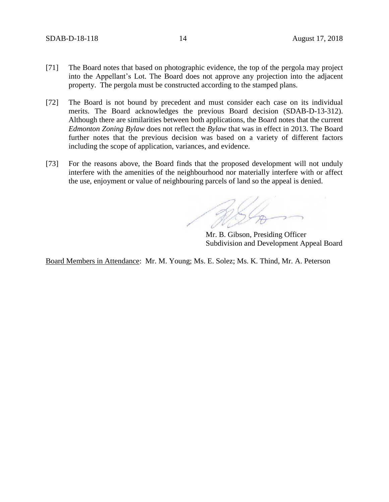- [71] The Board notes that based on photographic evidence, the top of the pergola may project into the Appellant's Lot. The Board does not approve any projection into the adjacent property. The pergola must be constructed according to the stamped plans.
- [72] The Board is not bound by precedent and must consider each case on its individual merits. The Board acknowledges the previous Board decision (SDAB-D-13-312). Although there are similarities between both applications, the Board notes that the current *Edmonton Zoning Bylaw* does not reflect the *Bylaw* that was in effect in 2013. The Board further notes that the previous decision was based on a variety of different factors including the scope of application, variances, and evidence.
- [73] For the reasons above, the Board finds that the proposed development will not unduly interfere with the amenities of the neighbourhood nor materially interfere with or affect the use, enjoyment or value of neighbouring parcels of land so the appeal is denied.

Mr. B. Gibson, Presiding Officer Subdivision and Development Appeal Board

Board Members in Attendance: Mr. M. Young; Ms. E. Solez; Ms. K. Thind, Mr. A. Peterson